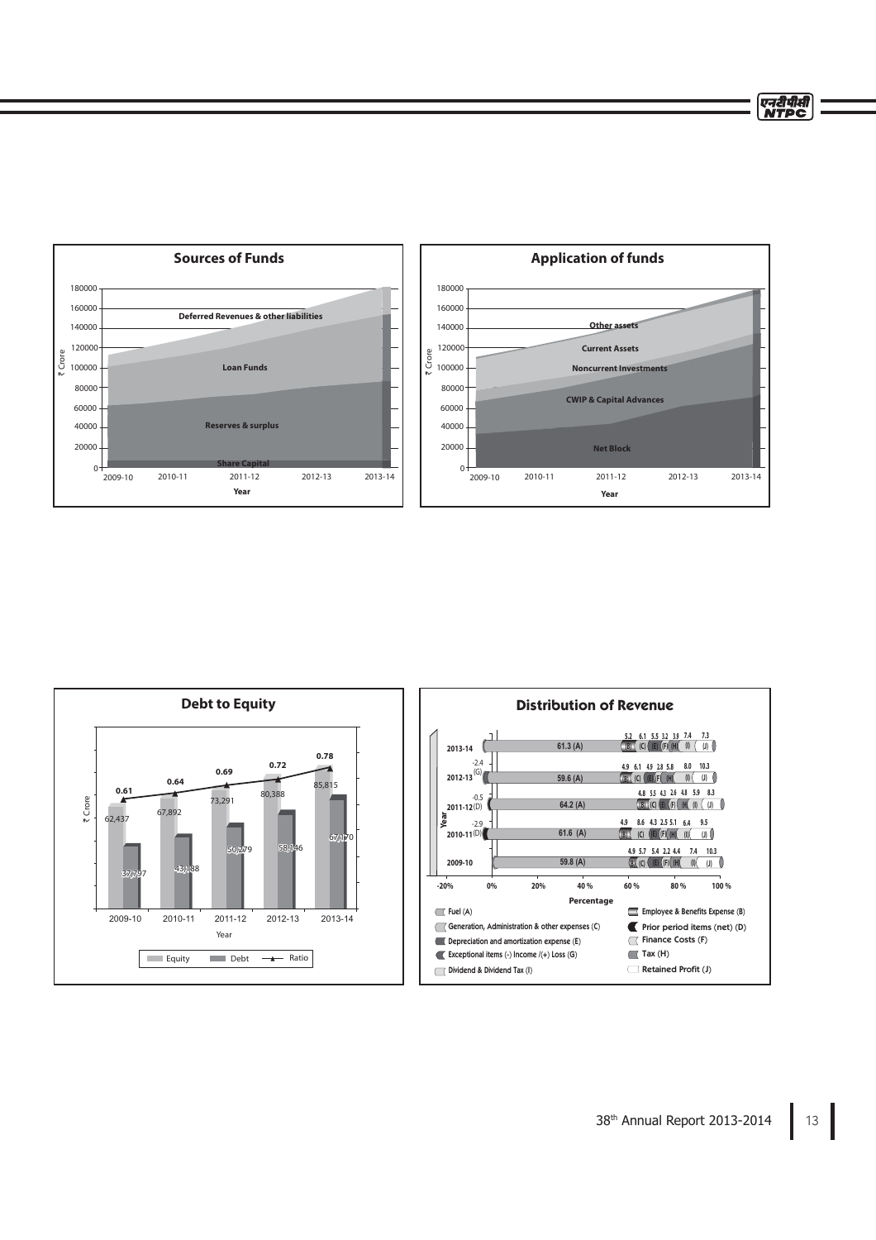एनदीपीसी<br>NTPC





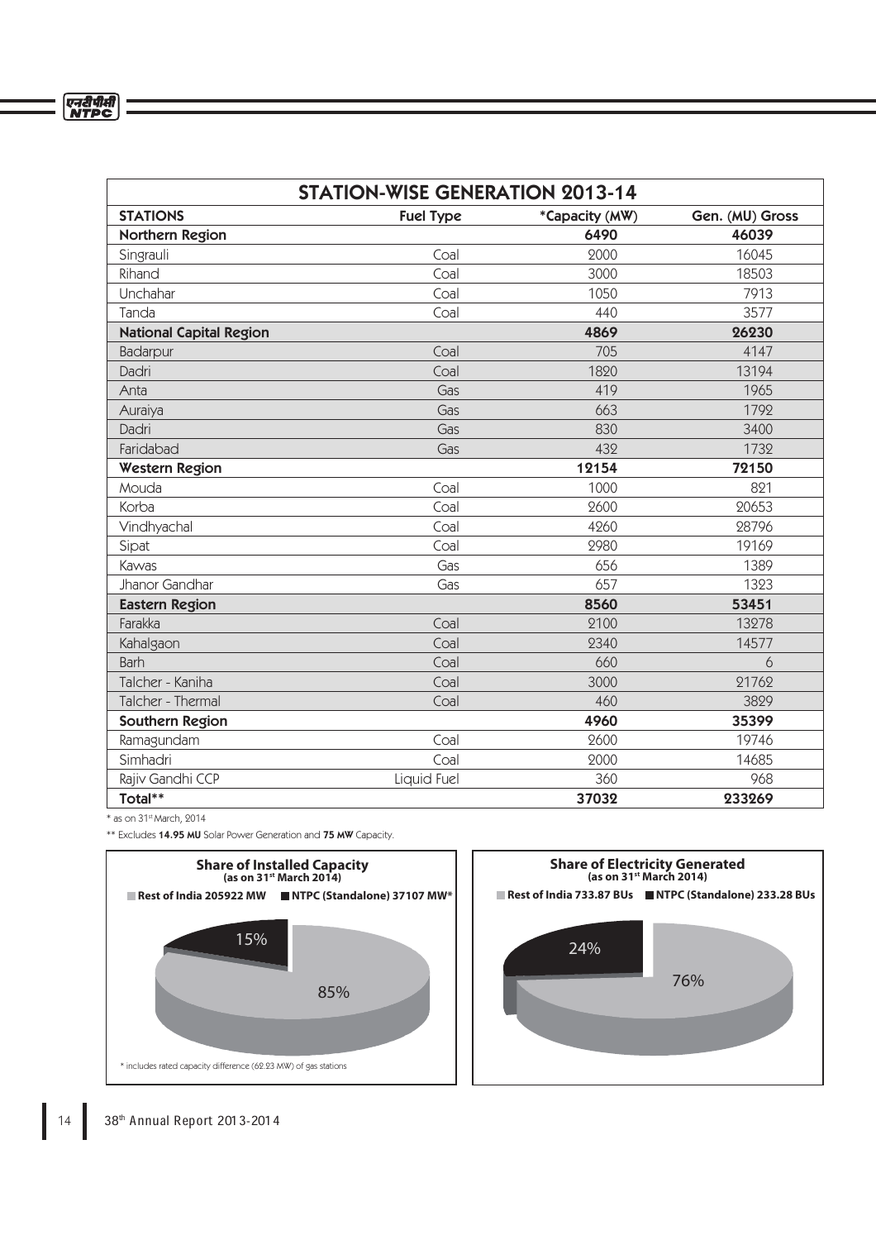| <b>STATION-WISE GENERATION 2013-14</b> |                  |                |                 |
|----------------------------------------|------------------|----------------|-----------------|
| <b>STATIONS</b>                        | <b>Fuel Type</b> | *Capacity (MW) | Gen. (MU) Gross |
| Northern Region                        |                  | 6490           | 46039           |
| Singrauli                              | Coal             | 2000           | 16045           |
| Rihand                                 | Coal             | 3000           | 18503           |
| Unchahar                               | Coal             | 1050           | 7913            |
| Tanda                                  | Coal             | 440            | 3577            |
| <b>National Capital Region</b>         |                  | 4869           | 26230           |
| Badarpur                               | Coal             | 705            | 4147            |
| Dadri                                  | Coal             | 1820           | 13194           |
| Anta                                   | Gas              | 419            | 1965            |
| Auraiya                                | Gas              | 663            | 1792            |
| Dadri                                  | Gas              | 830            | 3400            |
| Faridabad                              | Gas              | 432            | 1732            |
| <b>Western Region</b>                  |                  | 12154          | 72150           |
| Mouda                                  | Coal             | 1000           | 821             |
| Korba                                  | Coal             | 2600           | 20653           |
| Vindhyachal                            | Coal             | 4260           | 28796           |
| Sipat                                  | Coal             | 2980           | 19169           |
| Kawas                                  | Gas              | 656            | 1389            |
| Jhanor Gandhar                         | Gas              | 657            | 1323            |
| <b>Eastern Region</b>                  |                  | 8560           | 53451           |
| Farakka                                | Coal             | 2100           | 13278           |
| Kahalgaon                              | Coal             | 2340           | 14577           |
| <b>Barh</b>                            | Coal             | 660            | 6               |
| Talcher - Kaniha                       | Coal             | 3000           | 21762           |
| Talcher - Thermal                      | Coal             | 460            | 3829            |
| Southern Region                        |                  | 4960           | 35399           |
| Ramagundam                             | Coal             | 2600           | 19746           |
| Simhadri                               | Coal             | 2000           | 14685           |
| Rajiv Gandhi CCP                       | Liquid Fuel      | 360            | 968             |
| Total**                                |                  | 37032          | 233269          |

 $*$  as on 31st March, 2014

\*\* Excludes 14.95 MU Solar Power Generation and 75 MW Capacity.